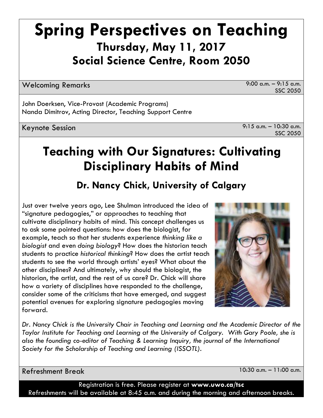# **Spring Perspectives on Teaching Thursday, May 11, 2017 Social Science Centre, Room 2050**

Welcoming Remarks 9:00 a.m. – 9:15 a.m.

SSC 2050

John Doerksen, Vice-Provost (Academic Programs) Nanda Dimitrov, Acting Director, Teaching Support Centre

Keynote Session 9:15 a.m. – 10:30 a.m. SSC 2050

# **Teaching with Our Signatures: Cultivating Disciplinary Habits of Mind**

# **Dr. Nancy Chick, University of Calgary**

Just over twelve years ago, Lee Shulman introduced the idea of "signature pedagogies," or approaches to teaching that cultivate disciplinary habits of mind. This concept challenges us to ask some pointed questions: how does the biologist, for example, teach so that her students experience *thinking like a biologist* and even *doing biology*? How does the historian teach students to practice *historical thinking*? How does the artist teach students to see the world through artists' eyes? What about the other disciplines? And ultimately, why should the biologist, the historian, the artist, and the rest of us care? Dr. Chick will share how a variety of disciplines have responded to the challenge, consider some of the criticisms that have emerged, and suggest potential avenues for exploring signature pedagogies moving forward.



*Dr. Nancy Chick is the University Chair in Teaching and Learning and the Academic Director of the Taylor Institute for Teaching and Learning at the University of Calgary. With Gary Poole, she is also the founding co-editor of Teaching & Learning Inquiry, the journal of the International Society for the Scholarship of Teaching and Learning (ISSOTL).*

Refreshment Break 10:30 a.m. – 11:00 a.m.

Registration is free. Please register at **www.uwo.ca/tsc**  Refreshments will be available at 8:45 a.m. and during the morning and afternoon breaks.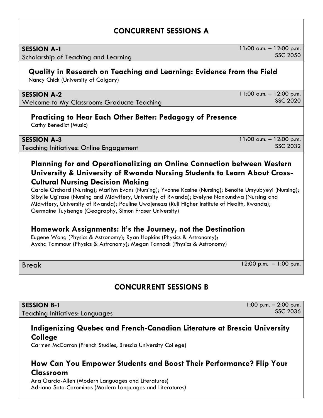## **CONCURRENT SESSIONS A**

| <b>SESSION A-1</b> |  |
|--------------------|--|
|--------------------|--|

Scholarship of Teaching and Learning

# **Quality in Research on Teaching and Learning: Evidence from the Field**

Nancy Chick (University of Calgary)

#### **SESSION A-2**

Welcome to My Classroom: Graduate Teaching

#### **Practicing to Hear Each Other Better: Pedagogy of Presence**

Cathy Benedict (Music)

Teaching Initiatives: Online Engagement

## **Planning for and Operationalizing an Online Connection between Western University & University of Rwanda Nursing Students to Learn About Cross-Cultural Nursing Decision Making**

Carole Orchard (Nursing); Marilyn Evans (Nursing); Yvonne Kasine (Nursing); Benoite Umyubyeyi (Nursing); Sibylle Ugirase (Nursing and Midwifery, University of Rwanda); Evelyne Nankundwa (Nursing and Midwifery, University of Rwanda); Pauline Uwajeneza (Ruli Higher Institute of Health, Rwanda); Germaine Tuyisenge (Geography, Simon Fraser University)

## **Homework Assignments: It's the Journey, not the Destination**

Eugene Wong (Physics & Astronomy); Ryan Hopkins (Physics & Astronomy); Aycha Tammour (Physics & Astronomy); Megan Tannock (Physics & Astronomy)

#### Break 12:00 p.m. – 1:00 p.m.

# **CONCURRENT SESSIONS B**

**SESSION B-1** Teaching Initiatives: Languages

#### **Indigenizing Quebec and French-Canadian Literature at Brescia University College**

Carmen McCarron (French Studies, Brescia University College)

#### **How Can You Empower Students and Boost Their Performance? Flip Your Classroom**

Ana Garcia-Allen (Modern Languages and Literatures) Adriana Soto-Corominas (Modern Languages and Literatures*)*

SSC 2020

SSC 2036

1:00 p.m. – 2:00 p.m.

11:00 a.m. – 12:00 p.m.

11:00 a.m. – 12:00 p.m.

11:00 a.m. – 12:00 p.m.

SSC 2050

SSC 2032